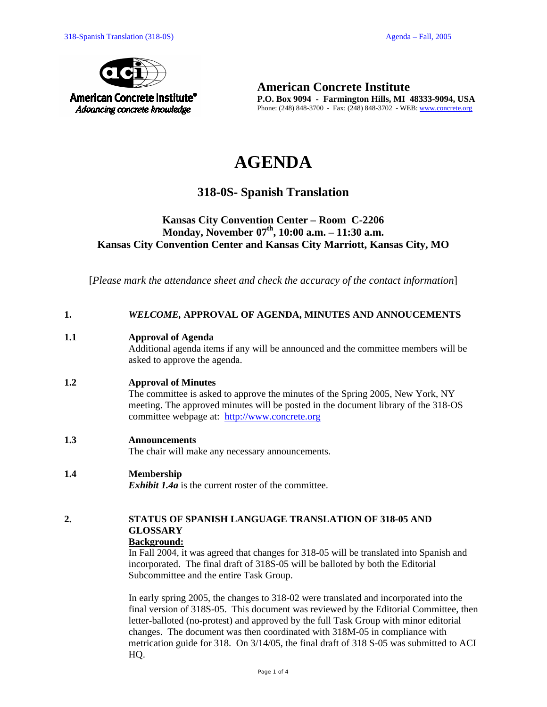

**American Concrete Institute P.O. Box 9094 - Farmington Hills, MI 48333-9094, USA**  Phone: (248) 848-3700 - Fax: (248) 848-3702 - WEB: www.concrete.org

# **AGENDA**

# **318-0S- Spanish Translation**

### **Kansas City Convention Center – Room C-2206**  Monday, November 07<sup>th</sup>, 10:00 a.m. – 11:30 a.m. **Kansas City Convention Center and Kansas City Marriott, Kansas City, MO**

[*Please mark the attendance sheet and check the accuracy of the contact information*]

| WELCOME, APPROVAL OF AGENDA, MINUTES AND ANNOUCEMENTS |
|-------------------------------------------------------|
|                                                       |

### **1.1 Approval of Agenda**

Additional agenda items if any will be announced and the committee members will be asked to approve the agenda.

### **1.2 Approval of Minutes**

The committee is asked to approve the minutes of the Spring 2005, New York, NY meeting. The approved minutes will be posted in the document library of the 318-OS committee webpage at: http://www.concrete.org

#### **1.3 Announcements**

The chair will make any necessary announcements.

### **1.4 Membership**

*Exhibit 1.4a* is the current roster of the committee.

## **2. STATUS OF SPANISH LANGUAGE TRANSLATION OF 318-05 AND GLOSSARY**

#### **Background:**

In Fall 2004, it was agreed that changes for 318-05 will be translated into Spanish and incorporated. The final draft of 318S-05 will be balloted by both the Editorial Subcommittee and the entire Task Group.

In early spring 2005, the changes to 318-02 were translated and incorporated into the final version of 318S-05. This document was reviewed by the Editorial Committee, then letter-balloted (no-protest) and approved by the full Task Group with minor editorial changes. The document was then coordinated with 318M-05 in compliance with metrication guide for 318. On 3/14/05, the final draft of 318 S-05 was submitted to ACI HQ.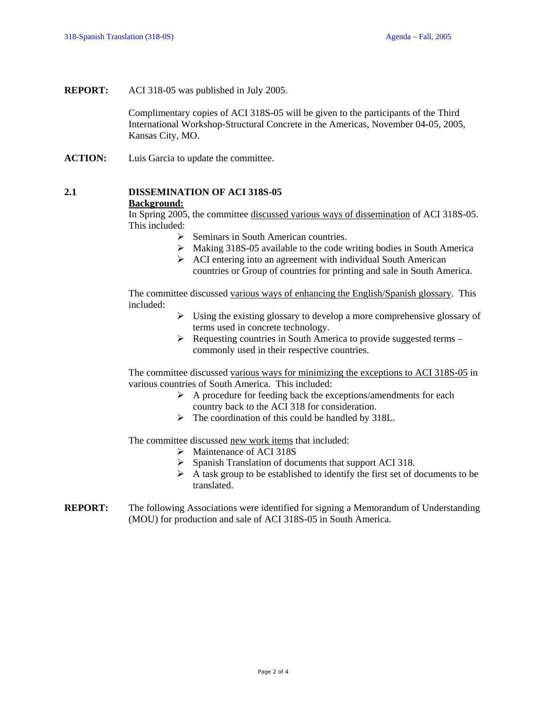**REPORT:** ACI 318-05 was published in July 2005.

Complimentary copies of ACI 318S-05 will be given to the participants of the Third International Workshop-Structural Concrete in the Americas, November 04-05, 2005, Kansas City, MO.

**ACTION:** Luis Garcia to update the committee.

### **2.1 DISSEMINATION OF ACI 318S-05 Background:**

In Spring 2005, the committee discussed various ways of dissemination of ACI 318S-05. This included:

- $\triangleright$  Seminars in South American countries.
- $\triangleright$  Making 318S-05 available to the code writing bodies in South America
- $\triangleright$  ACI entering into an agreement with individual South American countries or Group of countries for printing and sale in South America.

The committee discussed various ways of enhancing the English/Spanish glossary. This included:

- $\triangleright$  Using the existing glossary to develop a more comprehensive glossary of terms used in concrete technology.
- $\triangleright$  Requesting countries in South America to provide suggested terms commonly used in their respective countries.

The committee discussed various ways for minimizing the exceptions to ACI 318S-05 in various countries of South America. This included:

- $\triangleright$  A procedure for feeding back the exceptions/amendments for each country back to the ACI 318 for consideration.
- $\triangleright$  The coordination of this could be handled by 318L.

The committee discussed new work items that included:

- ¾ Maintenance of ACI 318S
- ¾ Spanish Translation of documents that support ACI 318.
- $\triangleright$  A task group to be established to identify the first set of documents to be translated.
- **REPORT:** The following Associations were identified for signing a Memorandum of Understanding (MOU) for production and sale of ACI 318S-05 in South America.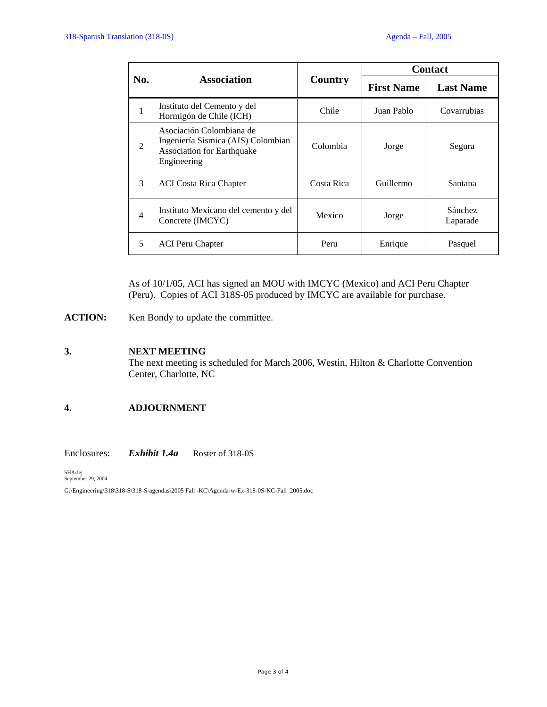|                |                                                                                                                    | Country    | <b>Contact</b>    |                     |
|----------------|--------------------------------------------------------------------------------------------------------------------|------------|-------------------|---------------------|
| No.            | <b>Association</b>                                                                                                 |            | <b>First Name</b> | <b>Last Name</b>    |
| 1              | Instituto del Cemento y del<br>Hormigón de Chile (ICH)                                                             | Chile      | Juan Pablo        | Covarrubias         |
| 2              | Asociación Colombiana de<br>Ingeniería Sismica (AIS) Colombian<br><b>Association for Earthquake</b><br>Engineering | Colombia   | Jorge             | Segura              |
| 3              | <b>ACI</b> Costa Rica Chapter                                                                                      | Costa Rica | Guillermo         | Santana             |
| $\overline{4}$ | Instituto Mexicano del cemento y del<br>Concrete (IMCYC)                                                           | Mexico     | Jorge             | Sánchez<br>Laparade |
| 5              | <b>ACI</b> Peru Chapter                                                                                            | Peru       | Enrique           | Pasquel             |

As of 10/1/05, ACI has signed an MOU with IMCYC (Mexico) and ACI Peru Chapter (Peru). Copies of ACI 318S-05 produced by IMCYC are available for purchase.

ACTION: Ken Bondy to update the committee.

### **3. NEXT MEETING**

The next meeting is scheduled for March 2006, Westin, Hilton & Charlotte Convention Center, Charlotte, NC

### **4. ADJOURNMENT**

Enclosures: *Exhibit 1.4a* Roster of 318-0S

SHA/Jej<br>September 29, 2004

G:\Engineering\318\318-S\318-S-agendas\2005 Fall -KC\Agenda-w-Ex-318-0S-KC-Fall 2005.doc